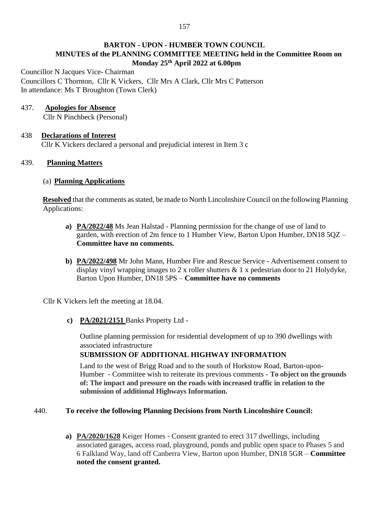# **BARTON - UPON - HUMBER TOWN COUNCIL MINUTES of the PLANNING COMMITTEE MEETING held in the Committee Room on Monday 25th April 2022 at 6.00pm**

Councillor N Jacques Vice- Chairman Councillors C Thornton, Cllr K Vickers, Cllr Mrs A Clark, Cllr Mrs C Patterson In attendance: Ms T Broughton (Town Clerk)

# 437. **Apologies for Absence**

Cllr N Pinchbeck (Personal)

# 438 **Declarations of Interest**

Cllr K Vickers declared a personal and prejudicial interest in Item 3 c

# 439. **Planning Matters**

#### (a) **Planning Applications**

**Resolved** that the comments as stated, be made to North Lincolnshire Council on the following Planning Applications:

- **a) PA/2022/48** Ms Jean Halstad Planning permission for the change of use of land to garden, with erection of 2m fence to 1 Humber View, Barton Upon Humber, DN18 5QZ – **Committee have no comments.**
- **b) PA/2022/498** Mr John Mann, Humber Fire and Rescue Service Advertisement consent to display vinyl wrapping images to 2 x roller shutters & 1 x pedestrian door to 21 Holydyke, Barton Upon Humber, DN18 5PS – **Committee have no comments**

Cllr K Vickers left the meeting at 18.04.

**c) PA/2021/2151** Banks Property Ltd -

Outline planning permission for residential development of up to 390 dwellings with associated infrastructure

# **SUBMISSION OF ADDITIONAL HIGHWAY INFORMATION**

Land to the west of Brigg Road and to the south of Horkstow Road, Barton-upon-Humber - Committee wish to reiterate its previous comments - **To object on the grounds of: The impact and pressure on the roads with increased traffic in relation to the submission of additional Highways Information.**

# 440. **To receive the following Planning Decisions from North Lincolnshire Council:**

**a) PA/2020/1628** Keiger Homes - Consent granted to erect 317 dwellings, including associated garages, access road, playground, ponds and public open space to Phases 5 and 6 Falkland Way, land off Canberra View, Barton upon Humber, DN18 5GR – **Committee noted the consent granted.**